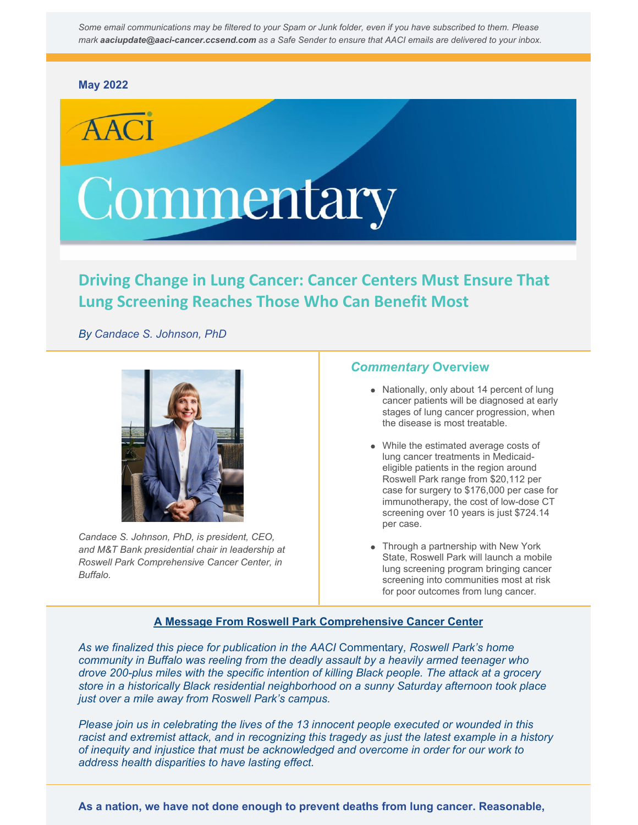Some email communications may be filtered to your Spam or Junk folder, even if you have subscribed to them. Please *mark aaciupdate@aaci-cancer.ccsend.com as a Safe Sender to ensure that AACI emails are delivered to your inbox.*

#### **May [2022](https://aaci-cancer.org/commentary)**

# Commentary

# **Driving Change in Lung Cancer: Cancer Centers Must Ensure That Lung Screening Reaches Those Who Can Benefit Most**

*By Candace S. Johnson, PhD*



*Candace S. Johnson, PhD, is president, CEO, and M&T Bank presidential chair in leadership at Roswell Park Comprehensive Cancer Center, in Buffalo.*

### *Commentary* **Overview**

- Nationally, only about 14 percent of lung cancer patients will be diagnosed at early stages of lung cancer progression, when the disease is most treatable.
- While the estimated average costs of lung cancer treatments in Medicaideligible patients in the region around Roswell Park range from \$20,112 per case for surgery to \$176,000 per case for immunotherapy, the cost of low-dose CT screening over 10 years is just \$724.14 per case.
- Through a partnership with New York State, Roswell Park will launch a mobile lung screening program bringing cancer screening into communities most at risk for poor outcomes from lung cancer.

#### **A Message From Roswell Park Comprehensive Cancer Center**

*As we finalized this piece for publication in the AACI* Commentary*, Roswell Park's home community in Buffalo was reeling from the deadly assault by a heavily armed teenager who drove 200-plus miles with the specific intention of killing Black people. The attack at a grocery store in a historically Black residential neighborhood on a sunny Saturday afternoon took place just over a mile away from Roswell Park's campus.*

*Please join us in celebrating the lives of the 13 innocent people executed or wounded in this racist and extremist attack, and in recognizing this tragedy as just the latest example in a history of inequity and injustice that must be acknowledged and overcome in order for our work to address health disparities to have lasting effect.*

**As a nation, we have not done enough to prevent deaths from lung cancer. Reasonable,**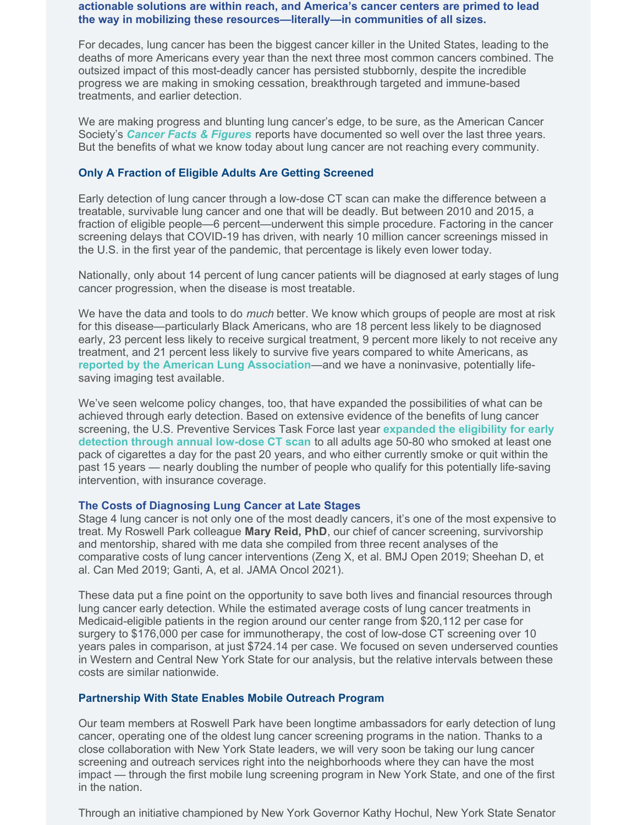#### **actionable solutions are within reach, and America's cancer centers are primed to lead the way in mobilizing these resources—literally—in communities of all sizes.**

For decades, lung cancer has been the biggest cancer killer in the United States, leading to the deaths of more Americans every year than the next three most common cancers combined. The outsized impact of this most-deadly cancer has persisted stubbornly, despite the incredible progress we are making in smoking cessation, breakthrough targeted and immune-based treatments, and earlier detection.

We are making progress and blunting lung cancer's edge, to be sure, as the American Cancer Society's *Cancer Facts & [Figures](https://www.cancer.org/research/cancer-facts-statistics/all-cancer-facts-figures.html)* reports have documented so well over the last three years. But the benefits of what we know today about lung cancer are not reaching every community.

#### **Only A Fraction of Eligible Adults Are Getting Screened**

Early detection of lung cancer through a low-dose CT scan can make the difference between a treatable, survivable lung cancer and one that will be deadly. But between 2010 and 2015, a fraction of eligible people—6 percent—underwent this simple procedure. Factoring in the cancer screening delays that COVID-19 has driven, with nearly 10 million cancer screenings missed in the U.S. in the first year of the pandemic, that percentage is likely even lower today.

Nationally, only about 14 percent of lung cancer patients will be diagnosed at early stages of lung cancer progression, when the disease is most treatable.

We have the data and tools to do *much* better. We know which groups of people are most at risk for this disease—particularly Black Americans, who are 18 percent less likely to be diagnosed early, 23 percent less likely to receive surgical treatment, 9 percent more likely to not receive any treatment, and 21 percent less likely to survive five years compared to white Americans, as **reported by the American Lung [Association](https://www.lung.org/research/state-of-lung-cancer/racial-and-ethnic-disparities)**—and we have a noninvasive, potentially lifesaving imaging test available.

We've seen welcome policy changes, too, that have expanded the possibilities of what can be achieved through early detection. Based on extensive evidence of the benefits of lung cancer screening, the U.S. [Preventive](https://www.uspreventiveservicestaskforce.org/uspstf/sites/default/files/file/supporting_documents/lung-cancer-newsbulletin.pdf) Services Task Force last year **expanded the eligibility for early detection through annual low-dose CT scan** to all adults age 50-80 who smoked at least one pack of cigarettes a day for the past 20 years, and who either currently smoke or quit within the past 15 years — nearly doubling the number of people who qualify for this potentially life-saving intervention, with insurance coverage.

#### **The Costs of Diagnosing Lung Cancer at Late Stages**

Stage 4 lung cancer is not only one of the most deadly cancers, it's one of the most expensive to treat. My Roswell Park colleague **Mary Reid, PhD**, our chief of cancer screening, survivorship and mentorship, shared with me data she compiled from three recent analyses of the comparative costs of lung cancer interventions (Zeng X, et al. BMJ Open 2019; Sheehan D, et al. Can Med 2019; Ganti, A, et al. JAMA Oncol 2021).

These data put a fine point on the opportunity to save both lives and financial resources through lung cancer early detection. While the estimated average costs of lung cancer treatments in Medicaid-eligible patients in the region around our center range from \$20,112 per case for surgery to \$176,000 per case for immunotherapy, the cost of low-dose CT screening over 10 years pales in comparison, at just \$724.14 per case. We focused on seven underserved counties in Western and Central New York State for our analysis, but the relative intervals between these costs are similar nationwide.

#### **Partnership With State Enables Mobile Outreach Program**

Our team members at Roswell Park have been longtime ambassadors for early detection of lung cancer, operating one of the oldest lung cancer screening programs in the nation. Thanks to a close collaboration with New York State leaders, we will very soon be taking our lung cancer screening and outreach services right into the neighborhoods where they can have the most impact — through the first mobile lung screening program in New York State, and one of the first in the nation.

Through an initiative championed by New York Governor Kathy Hochul, New York State Senator